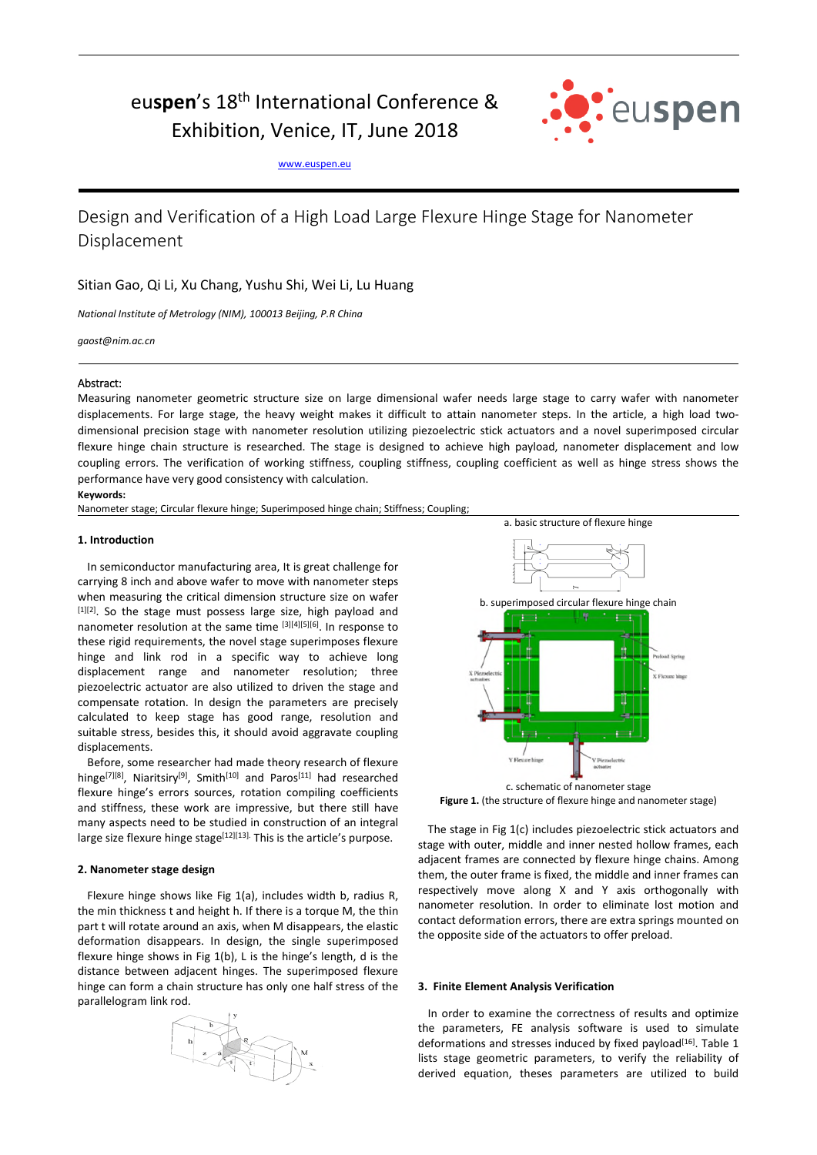# eu**spen**'s 18th International Conference & Exhibition, Venice, IT, June 2018



www.euspen.eu

## Design and Verification of a High Load Large Flexure Hinge Stage for Nanometer Displacement

## Sitian Gao, Qi Li, Xu Chang, Yushu Shi, Wei Li, Lu Huang

*National Institute of Metrology (NIM), 100013 Beijing, P.R China* 

*gaost@nim.ac.cn* 

### Abstract:

Measuring nanometer geometric structure size on large dimensional wafer needs large stage to carry wafer with nanometer displacements. For large stage, the heavy weight makes it difficult to attain nanometer steps. In the article, a high load twodimensional precision stage with nanometer resolution utilizing piezoelectric stick actuators and a novel superimposed circular flexure hinge chain structure is researched. The stage is designed to achieve high payload, nanometer displacement and low coupling errors. The verification of working stiffness, coupling stiffness, coupling coefficient as well as hinge stress shows the performance have very good consistency with calculation.

#### **Keywords:**

Nanometer stage; Circular flexure hinge; Superimposed hinge chain; Stiffness; Coupling;

#### **1. Introduction**

In semiconductor manufacturing area, It is great challenge for carrying 8 inch and above wafer to move with nanometer steps when measuring the critical dimension structure size on wafer [1][2]. So the stage must possess large size, high payload and nanometer resolution at the same time [3][4][5][6]. In response to these rigid requirements, the novel stage superimposes flexure hinge and link rod in a specific way to achieve long displacement range and nanometer resolution; three piezoelectric actuator are also utilized to driven the stage and compensate rotation. In design the parameters are precisely calculated to keep stage has good range, resolution and suitable stress, besides this, it should avoid aggravate coupling displacements.

Before, some researcher had made theory research of flexure hinge<sup>[7][8]</sup>, Niaritsiry<sup>[9]</sup>, Smith<sup>[10]</sup> and Paros<sup>[11]</sup> had researched flexure hinge's errors sources, rotation compiling coefficients and stiffness, these work are impressive, but there still have many aspects need to be studied in construction of an integral large size flexure hinge stage $[12][13]$ . This is the article's purpose.

#### **2. Nanometer stage design**

Flexure hinge shows like Fig 1(a), includes width b, radius R, the min thickness t and height h. If there is a torque M, the thin part t will rotate around an axis, when M disappears, the elastic deformation disappears. In design, the single superimposed flexure hinge shows in Fig 1(b), L is the hinge's length, d is the distance between adjacent hinges. The superimposed flexure hinge can form a chain structure has only one half stress of the parallelogram link rod.





c. schematic of nanometer stage **Figure 1.** (the structure of flexure hinge and nanometer stage)

The stage in Fig 1(c) includes piezoelectric stick actuators and stage with outer, middle and inner nested hollow frames, each adjacent frames are connected by flexure hinge chains. Among them, the outer frame is fixed, the middle and inner frames can respectively move along X and Y axis orthogonally with nanometer resolution. In order to eliminate lost motion and contact deformation errors, there are extra springs mounted on the opposite side of the actuators to offer preload.

#### **3. Finite Element Analysis Verification**

In order to examine the correctness of results and optimize the parameters, FE analysis software is used to simulate deformations and stresses induced by fixed payload<sup>[16]</sup>. Table 1 lists stage geometric parameters, to verify the reliability of derived equation, theses parameters are utilized to build